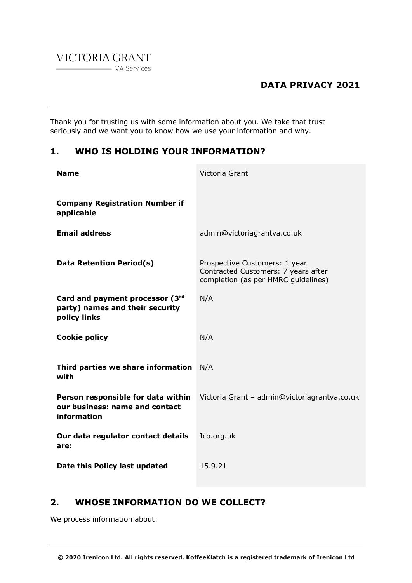

Thank you for trusting us with some information about you. We take that trust seriously and we want you to know how we use your information and why.

# **1. WHO IS HOLDING YOUR INFORMATION?**

| <b>Name</b>                                                                         | Victoria Grant                                                                                              |
|-------------------------------------------------------------------------------------|-------------------------------------------------------------------------------------------------------------|
| <b>Company Registration Number if</b><br>applicable                                 |                                                                                                             |
| <b>Email address</b>                                                                | admin@victoriagrantva.co.uk                                                                                 |
| Data Retention Period(s)                                                            | Prospective Customers: 1 year<br>Contracted Customers: 7 years after<br>completion (as per HMRC guidelines) |
| Card and payment processor (3rd<br>party) names and their security<br>policy links  | N/A                                                                                                         |
| <b>Cookie policy</b>                                                                | N/A                                                                                                         |
| Third parties we share information<br>with                                          | N/A                                                                                                         |
| Person responsible for data within<br>our business: name and contact<br>information | Victoria Grant - admin@victoriagrantva.co.uk                                                                |
| Our data regulator contact details<br>are:                                          | Ico.org.uk                                                                                                  |
| Date this Policy last updated                                                       | 15.9.21                                                                                                     |

# **2. WHOSE INFORMATION DO WE COLLECT?**

We process information about: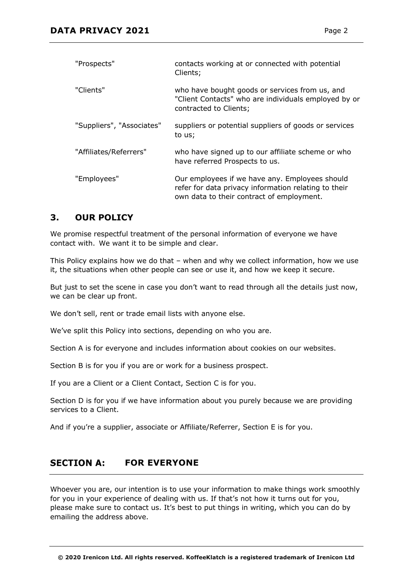| "Prospects"               | contacts working at or connected with potential<br>Clients;                                                                                         |
|---------------------------|-----------------------------------------------------------------------------------------------------------------------------------------------------|
| "Clients"                 | who have bought goods or services from us, and<br>"Client Contacts" who are individuals employed by or<br>contracted to Clients;                    |
| "Suppliers", "Associates" | suppliers or potential suppliers of goods or services<br>to us;                                                                                     |
| "Affiliates/Referrers"    | who have signed up to our affiliate scheme or who<br>have referred Prospects to us.                                                                 |
| "Employees"               | Our employees if we have any. Employees should<br>refer for data privacy information relating to their<br>own data to their contract of employment. |

# **3. OUR POLICY**

We promise respectful treatment of the personal information of everyone we have contact with. We want it to be simple and clear.

This Policy explains how we do that – when and why we collect information, how we use it, the situations when other people can see or use it, and how we keep it secure.

But just to set the scene in case you don't want to read through all the details just now, we can be clear up front.

We don't sell, rent or trade email lists with anyone else.

We've split this Policy into sections, depending on who you are.

Section A is for everyone and includes information about cookies on our websites.

Section B is for you if you are or work for a business prospect.

If you are a Client or a Client Contact, Section C is for you.

Section D is for you if we have information about you purely because we are providing services to a Client.

And if you're a supplier, associate or Affiliate/Referrer, Section E is for you.

#### **SECTION A: FOR EVERYONE**

Whoever you are, our intention is to use your information to make things work smoothly for you in your experience of dealing with us. If that's not how it turns out for you, please make sure to contact us. It's best to put things in writing, which you can do by emailing the address above.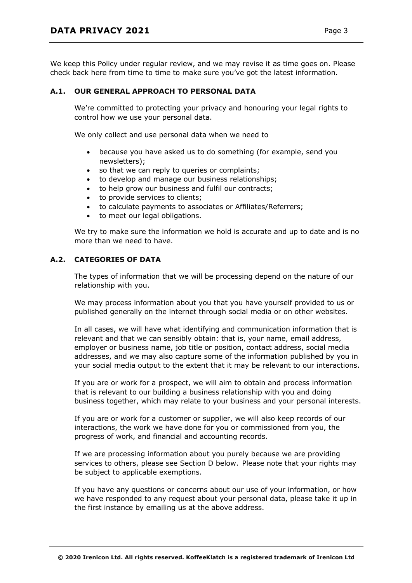We keep this Policy under regular review, and we may revise it as time goes on. Please check back here from time to time to make sure you've got the latest information.

### **A.1. OUR GENERAL APPROACH TO PERSONAL DATA**

We're committed to protecting your privacy and honouring your legal rights to control how we use your personal data.

We only collect and use personal data when we need to

- because you have asked us to do something (for example, send you newsletters);
- so that we can reply to queries or complaints;
- to develop and manage our business relationships;
- to help grow our business and fulfil our contracts;
- to provide services to clients;
- to calculate payments to associates or Affiliates/Referrers;
- to meet our legal obligations.

We try to make sure the information we hold is accurate and up to date and is no more than we need to have.

## **A.2. CATEGORIES OF DATA**

The types of information that we will be processing depend on the nature of our relationship with you.

We may process information about you that you have yourself provided to us or published generally on the internet through social media or on other websites.

In all cases, we will have what identifying and communication information that is relevant and that we can sensibly obtain: that is, your name, email address, employer or business name, job title or position, contact address, social media addresses, and we may also capture some of the information published by you in your social media output to the extent that it may be relevant to our interactions.

If you are or work for a prospect, we will aim to obtain and process information that is relevant to our building a business relationship with you and doing business together, which may relate to your business and your personal interests.

If you are or work for a customer or supplier, we will also keep records of our interactions, the work we have done for you or commissioned from you, the progress of work, and financial and accounting records.

If we are processing information about you purely because we are providing services to others, please see Section D below. Please note that your rights may be subject to applicable exemptions.

If you have any questions or concerns about our use of your information, or how we have responded to any request about your personal data, please take it up in the first instance by emailing us at the above address.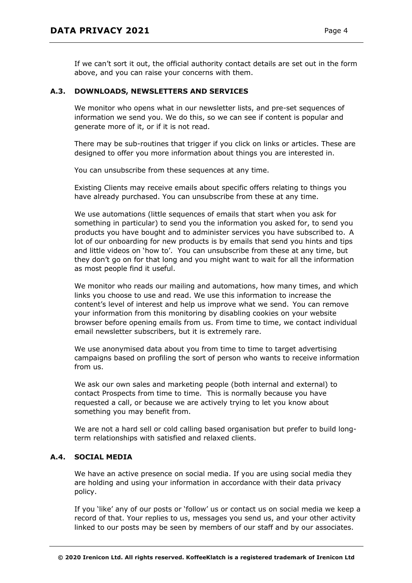If we can't sort it out, the official authority contact details are set out in the form above, and you can raise your concerns with them.

### **A.3. DOWNLOADS, NEWSLETTERS AND SERVICES**

We monitor who opens what in our newsletter lists, and pre-set sequences of information we send you. We do this, so we can see if content is popular and generate more of it, or if it is not read.

There may be sub-routines that trigger if you click on links or articles. These are designed to offer you more information about things you are interested in.

You can unsubscribe from these sequences at any time.

Existing Clients may receive emails about specific offers relating to things you have already purchased. You can unsubscribe from these at any time.

We use automations (little sequences of emails that start when you ask for something in particular) to send you the information you asked for, to send you products you have bought and to administer services you have subscribed to. A lot of our onboarding for new products is by emails that send you hints and tips and little videos on 'how to'.   You can unsubscribe from these at any time, but they don't go on for that long and you might want to wait for all the information as most people find it useful.

We monitor who reads our mailing and automations, how many times, and which links you choose to use and read. We use this information to increase the content's level of interest and help us improve what we send. You can remove your information from this monitoring by disabling cookies on your website browser before opening emails from us. From time to time, we contact individual email newsletter subscribers, but it is extremely rare.

We use anonymised data about you from time to time to target advertising campaigns based on profiling the sort of person who wants to receive information from us.

We ask our own sales and marketing people (both internal and external) to contact Prospects from time to time. This is normally because you have requested a call, or because we are actively trying to let you know about something you may benefit from.

We are not a hard sell or cold calling based organisation but prefer to build longterm relationships with satisfied and relaxed clients.

## **A.4. SOCIAL MEDIA**

We have an active presence on social media. If you are using social media they are holding and using your information in accordance with their data privacy policy.

If you 'like' any of our posts or 'follow' us or contact us on social media we keep a record of that. Your replies to us, messages you send us, and your other activity linked to our posts may be seen by members of our staff and by our associates.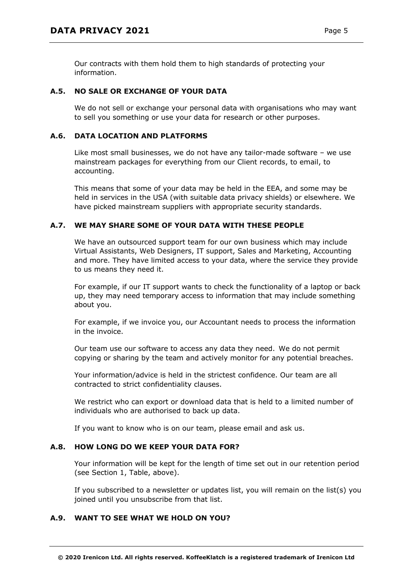Our contracts with them hold them to high standards of protecting your information.

# **A.5. NO SALE OR EXCHANGE OF YOUR DATA**

We do not sell or exchange your personal data with organisations who may want to sell you something or use your data for research or other purposes.

### **A.6. DATA LOCATION AND PLATFORMS**

Like most small businesses, we do not have any tailor-made software – we use mainstream packages for everything from our Client records, to email, to accounting.

This means that some of your data may be held in the EEA, and some may be held in services in the USA (with suitable data privacy shields) or elsewhere. We have picked mainstream suppliers with appropriate security standards.

### **A.7. WE MAY SHARE SOME OF YOUR DATA WITH THESE PEOPLE**

We have an outsourced support team for our own business which may include Virtual Assistants, Web Designers, IT support, Sales and Marketing, Accounting and more. They have limited access to your data, where the service they provide to us means they need it.

For example, if our IT support wants to check the functionality of a laptop or back up, they may need temporary access to information that may include something about you.

For example, if we invoice you, our Accountant needs to process the information in the invoice.

Our team use our software to access any data they need. We do not permit copying or sharing by the team and actively monitor for any potential breaches.

Your information/advice is held in the strictest confidence. Our team are all contracted to strict confidentiality clauses.

We restrict who can export or download data that is held to a limited number of individuals who are authorised to back up data.

If you want to know who is on our team, please email and ask us.

#### **A.8. HOW LONG DO WE KEEP YOUR DATA FOR?**

Your information will be kept for the length of time set out in our retention period (see Section 1, Table, above).

If you subscribed to a newsletter or updates list, you will remain on the list(s) you joined until you unsubscribe from that list.

## **A.9. WANT TO SEE WHAT WE HOLD ON YOU?**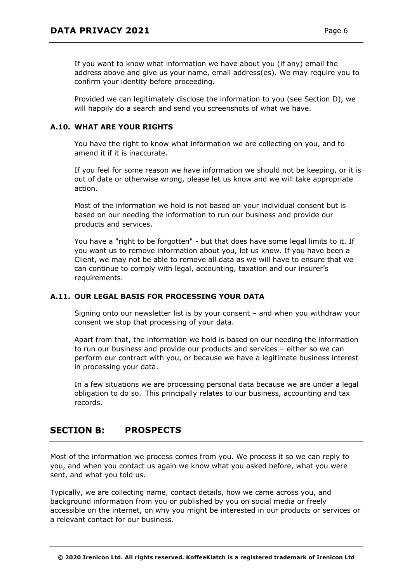If you want to know what information we have about you (if any) email the address above and give us your name, email address(es). We may require you to confirm your identity before proceeding.

Provided we can legitimately disclose the information to you (see Section D), we will happily do a search and send you screenshots of what we have.

# **A.10. WHAT ARE YOUR RIGHTS**

You have the right to know what information we are collecting on you, and to amend it if it is inaccurate.

If you feel for some reason we have information we should not be keeping, or it is out of date or otherwise wrong, please let us know and we will take appropriate action.

Most of the information we hold is not based on your individual consent but is based on our needing the information to run our business and provide our products and services.

You have a "right to be forgotten" - but that does have some legal limits to it. If you want us to remove information about you, let us know. If you have been a Client, we may not be able to remove all data as we will have to ensure that we can continue to comply with legal, accounting, taxation and our insurer's requirements.

## **A.11. OUR LEGAL BASIS FOR PROCESSING YOUR DATA**

Signing onto our newsletter list is by your consent – and when you withdraw your consent we stop that processing of your data.

Apart from that, the information we hold is based on our needing the information to run our business and provide our products and services – either so we can perform our contract with you, or because we have a legitimate business interest in processing your data.

In a few situations we are processing personal data because we are under a legal obligation to do so. This principally relates to our business, accounting and tax records.

#### **SECTION B: PROSPECTS**

Most of the information we process comes from you. We process it so we can reply to you, and when you contact us again we know what you asked before, what you were sent, and what you told us.

Typically, we are collecting name, contact details, how we came across you, and background information from you or published by you on social media or freely accessible on the internet, on why you might be interested in our products or services or a relevant contact for our business.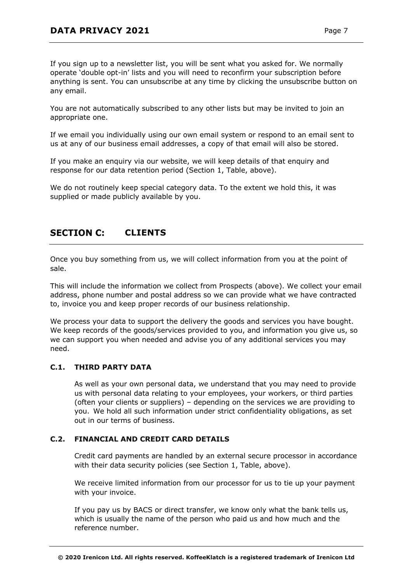If you sign up to a newsletter list, you will be sent what you asked for. We normally operate 'double opt-in' lists and you will need to reconfirm your subscription before anything is sent. You can unsubscribe at any time by clicking the unsubscribe button on any email.

You are not automatically subscribed to any other lists but may be invited to join an appropriate one.

If we email you individually using our own email system or respond to an email sent to us at any of our business email addresses, a copy of that email will also be stored.

If you make an enquiry via our website, we will keep details of that enquiry and response for our data retention period (Section 1, Table, above).

We do not routinely keep special category data. To the extent we hold this, it was supplied or made publicly available by you.

#### **SECTION C: CLIENTS**

Once you buy something from us, we will collect information from you at the point of sale.

This will include the information we collect from Prospects (above). We collect your email address, phone number and postal address so we can provide what we have contracted to, invoice you and keep proper records of our business relationship.

We process your data to support the delivery the goods and services you have bought. We keep records of the goods/services provided to you, and information you give us, so we can support you when needed and advise you of any additional services you may need.

## **C.1. THIRD PARTY DATA**

As well as your own personal data, we understand that you may need to provide us with personal data relating to your employees, your workers, or third parties (often your clients or suppliers) – depending on the services we are providing to you. We hold all such information under strict confidentiality obligations, as set out in our terms of business.

## **C.2. FINANCIAL AND CREDIT CARD DETAILS**

Credit card payments are handled by an external secure processor in accordance with their data security policies (see Section 1, Table, above).

We receive limited information from our processor for us to tie up your payment with your invoice.

If you pay us by BACS or direct transfer, we know only what the bank tells us, which is usually the name of the person who paid us and how much and the reference number.